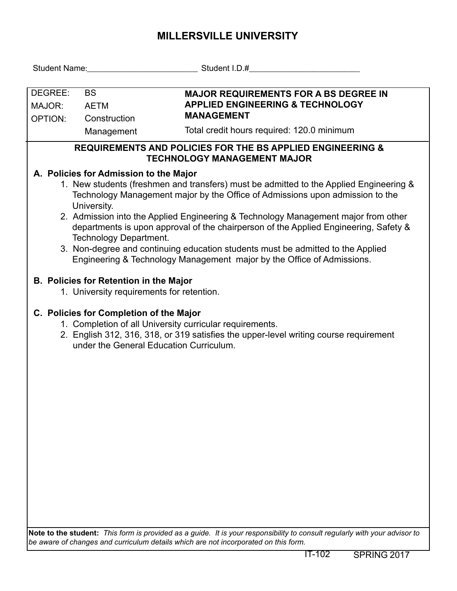## **MILLERSVILLE UNIVERSITY**

| Student Name: Mannell Allen Mannell Allen Mannell Allen Mannell Allen Mannell Allen Mannell Allen Mannell Allen                                                                                                                         |                                                                                                                                                                                                             | Student I.D.# Student I.D. A                                                                                                                              |  |  |  |  |  |  |  |
|-----------------------------------------------------------------------------------------------------------------------------------------------------------------------------------------------------------------------------------------|-------------------------------------------------------------------------------------------------------------------------------------------------------------------------------------------------------------|-----------------------------------------------------------------------------------------------------------------------------------------------------------|--|--|--|--|--|--|--|
|                                                                                                                                                                                                                                         |                                                                                                                                                                                                             |                                                                                                                                                           |  |  |  |  |  |  |  |
| DEGREE:<br><b>BS</b>                                                                                                                                                                                                                    |                                                                                                                                                                                                             | <b>MAJOR REQUIREMENTS FOR A BS DEGREE IN</b><br><b>APPLIED ENGINEERING &amp; TECHNOLOGY</b>                                                               |  |  |  |  |  |  |  |
| MAJOR:<br><b>OPTION:</b>                                                                                                                                                                                                                | <b>AETM</b><br>Construction                                                                                                                                                                                 | <b>MANAGEMENT</b>                                                                                                                                         |  |  |  |  |  |  |  |
|                                                                                                                                                                                                                                         | Management                                                                                                                                                                                                  | Total credit hours required: 120.0 minimum                                                                                                                |  |  |  |  |  |  |  |
|                                                                                                                                                                                                                                         |                                                                                                                                                                                                             |                                                                                                                                                           |  |  |  |  |  |  |  |
| <b>REQUIREMENTS AND POLICIES FOR THE BS APPLIED ENGINEERING &amp;</b><br><b>TECHNOLOGY MANAGEMENT MAJOR</b>                                                                                                                             |                                                                                                                                                                                                             |                                                                                                                                                           |  |  |  |  |  |  |  |
| A. Policies for Admission to the Major                                                                                                                                                                                                  |                                                                                                                                                                                                             |                                                                                                                                                           |  |  |  |  |  |  |  |
| 1. New students (freshmen and transfers) must be admitted to the Applied Engineering &<br>Technology Management major by the Office of Admissions upon admission to the<br>University.                                                  |                                                                                                                                                                                                             |                                                                                                                                                           |  |  |  |  |  |  |  |
|                                                                                                                                                                                                                                         | 2. Admission into the Applied Engineering & Technology Management major from other<br>departments is upon approval of the chairperson of the Applied Engineering, Safety &<br><b>Technology Department.</b> |                                                                                                                                                           |  |  |  |  |  |  |  |
|                                                                                                                                                                                                                                         |                                                                                                                                                                                                             | 3. Non-degree and continuing education students must be admitted to the Applied<br>Engineering & Technology Management major by the Office of Admissions. |  |  |  |  |  |  |  |
|                                                                                                                                                                                                                                         | <b>B. Policies for Retention in the Major</b><br>1. University requirements for retention.                                                                                                                  |                                                                                                                                                           |  |  |  |  |  |  |  |
| C. Policies for Completion of the Major<br>1. Completion of all University curricular requirements.<br>2. English 312, 316, 318, or 319 satisfies the upper-level writing course requirement<br>under the General Education Curriculum. |                                                                                                                                                                                                             |                                                                                                                                                           |  |  |  |  |  |  |  |
|                                                                                                                                                                                                                                         |                                                                                                                                                                                                             |                                                                                                                                                           |  |  |  |  |  |  |  |
|                                                                                                                                                                                                                                         |                                                                                                                                                                                                             |                                                                                                                                                           |  |  |  |  |  |  |  |
|                                                                                                                                                                                                                                         |                                                                                                                                                                                                             |                                                                                                                                                           |  |  |  |  |  |  |  |
|                                                                                                                                                                                                                                         |                                                                                                                                                                                                             |                                                                                                                                                           |  |  |  |  |  |  |  |
|                                                                                                                                                                                                                                         |                                                                                                                                                                                                             |                                                                                                                                                           |  |  |  |  |  |  |  |
|                                                                                                                                                                                                                                         |                                                                                                                                                                                                             |                                                                                                                                                           |  |  |  |  |  |  |  |
|                                                                                                                                                                                                                                         |                                                                                                                                                                                                             |                                                                                                                                                           |  |  |  |  |  |  |  |

**Note to the student:** *This form is provided as a guide. It is your responsibility to consult regularly with your advisor to be aware of changes and curriculum details which are not incorporated on this form.*